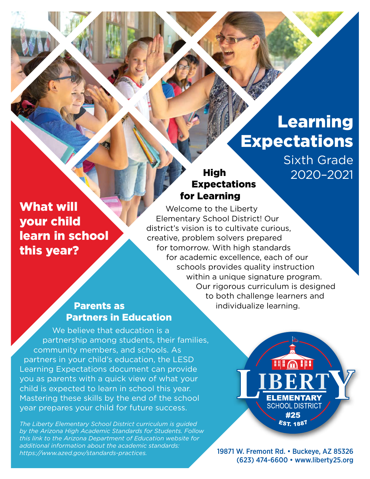# Learning **Expectations**

Sixth Grade 2020–2021

## High Expectations for Learning

What will your child learn in school this year?

Welcome to the Liberty Elementary School District! Our district's vision is to cultivate curious, creative, problem solvers prepared for tomorrow. With high standards for academic excellence, each of our schools provides quality instruction within a unique signature program. Our rigorous curriculum is designed to both challenge learners and individualize learning.

## Parents as Partners in Education

We believe that education is a partnership among students, their families, community members, and schools. As partners in your child's education, the LESD Learning Expectations document can provide you as parents with a quick view of what your child is expected to learn in school this year. Mastering these skills by the end of the school year prepares your child for future success.

*The Liberty Elementary School District curriculum is guided by the Arizona High Academic Standards for Students. Follow this link to the Arizona Department of Education website for additional information about the academic standards: [https://www.azed.gov/standards-practices.](https://www.azed.gov/standards-practices)*

**HIGH! ELEMENTARY SCHOOL DISTRICT** #25 EST. 1887

19871 W. Fremont Rd. • Buckeye, AZ 85326 (623) 474-6600 • [www.liberty25.org](http://www.liberty25.org)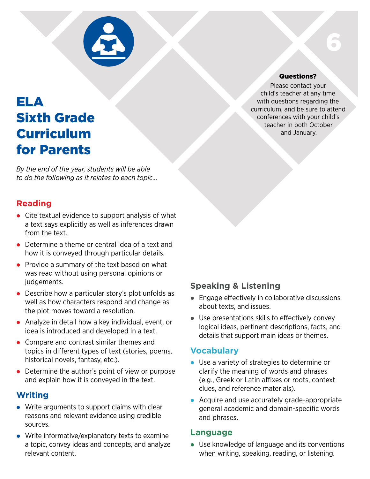

## ELA Sixth Grade Curriculum for Parents

*By the end of the year, students will be able to do the following as it relates to each topic…*

## **Reading**

- $\bullet$  Cite textual evidence to support analysis of what a text says explicitly as well as inferences drawn from the text.
- $\bullet$  Determine a theme or central idea of a text and how it is conveyed through particular details.
- Provide a summary of the text based on what was read without using personal opinions or judgements.
- $\bullet$  Describe how a particular story's plot unfolds as well as how characters respond and change as the plot moves toward a resolution.
- Analyze in detail how a key individual, event, or idea is introduced and developed in a text.
- Compare and contrast similar themes and topics in different types of text (stories, poems, historical novels, fantasy, etc.).
- $\bullet$  Determine the author's point of view or purpose and explain how it is conveyed in the text.

### **Writing**

- $\bullet$  Write arguments to support claims with clear reasons and relevant evidence using credible sources.
- $\bullet$  Write informative/explanatory texts to examine a topic, convey ideas and concepts, and analyze relevant content.

#### Questions?

6

Please contact your child's teacher at any time with questions regarding the curriculum, and be sure to attend conferences with your child's teacher in both October and January.

#### **Speaking & Listening**

- $\bullet$  Engage effectively in collaborative discussions about texts, and issues.
- $\bullet$  Use presentations skills to effectively convey logical ideas, pertinent descriptions, facts, and details that support main ideas or themes.

#### **Vocabulary**

- Use a variety of strategies to determine or clarify the meaning of words and phrases (e.g., Greek or Latin affixes or roots, context clues, and reference materials).
- Acquire and use accurately grade-appropriate general academic and domain-specific words and phrases.

#### **Language**

 $\bullet$  Use knowledge of language and its conventions when writing, speaking, reading, or listening.